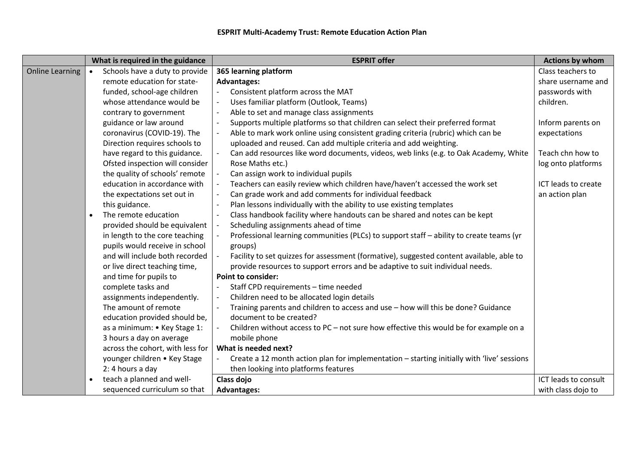|                        | What is required in the guidance | <b>ESPRIT offer</b>                                                                        | <b>Actions by whom</b> |
|------------------------|----------------------------------|--------------------------------------------------------------------------------------------|------------------------|
| <b>Online Learning</b> | Schools have a duty to provide   | 365 learning platform                                                                      | Class teachers to      |
|                        | remote education for state-      | <b>Advantages:</b>                                                                         | share username and     |
|                        | funded, school-age children      | Consistent platform across the MAT                                                         | passwords with         |
|                        | whose attendance would be        | Uses familiar platform (Outlook, Teams)                                                    | children.              |
|                        | contrary to government           | Able to set and manage class assignments                                                   |                        |
|                        | guidance or law around           | Supports multiple platforms so that children can select their preferred format             | Inform parents on      |
|                        | coronavirus (COVID-19). The      | Able to mark work online using consistent grading criteria (rubric) which can be           | expectations           |
|                        | Direction requires schools to    | uploaded and reused. Can add multiple criteria and add weighting.                          |                        |
|                        | have regard to this guidance.    | Can add resources like word documents, videos, web links (e.g. to Oak Academy, White       | Teach chn how to       |
|                        | Ofsted inspection will consider  | Rose Maths etc.)                                                                           | log onto platforms     |
|                        | the quality of schools' remote   | Can assign work to individual pupils                                                       |                        |
|                        | education in accordance with     | Teachers can easily review which children have/haven't accessed the work set               | ICT leads to create    |
|                        | the expectations set out in      | Can grade work and add comments for individual feedback                                    | an action plan         |
|                        | this guidance.                   | Plan lessons individually with the ability to use existing templates                       |                        |
|                        | The remote education             | Class handbook facility where handouts can be shared and notes can be kept                 |                        |
|                        | provided should be equivalent    | Scheduling assignments ahead of time                                                       |                        |
|                        | in length to the core teaching   | Professional learning communities (PLCs) to support staff - ability to create teams (yr    |                        |
|                        | pupils would receive in school   | groups)                                                                                    |                        |
|                        | and will include both recorded   | Facility to set quizzes for assessment (formative), suggested content available, able to   |                        |
|                        | or live direct teaching time,    | provide resources to support errors and be adaptive to suit individual needs.              |                        |
|                        | and time for pupils to           | <b>Point to consider:</b>                                                                  |                        |
|                        | complete tasks and               | Staff CPD requirements - time needed                                                       |                        |
|                        | assignments independently.       | Children need to be allocated login details                                                |                        |
|                        | The amount of remote             | Training parents and children to access and use - how will this be done? Guidance          |                        |
|                        | education provided should be,    | document to be created?                                                                    |                        |
|                        | as a minimum: • Key Stage 1:     | Children without access to PC - not sure how effective this would be for example on a      |                        |
|                        | 3 hours a day on average         | mobile phone                                                                               |                        |
|                        | across the cohort, with less for | What is needed next?                                                                       |                        |
|                        | younger children • Key Stage     | Create a 12 month action plan for implementation - starting initially with 'live' sessions |                        |
|                        | 2: 4 hours a day                 | then looking into platforms features                                                       |                        |
|                        | teach a planned and well-        | Class dojo                                                                                 | ICT leads to consult   |
|                        | sequenced curriculum so that     | <b>Advantages:</b>                                                                         | with class dojo to     |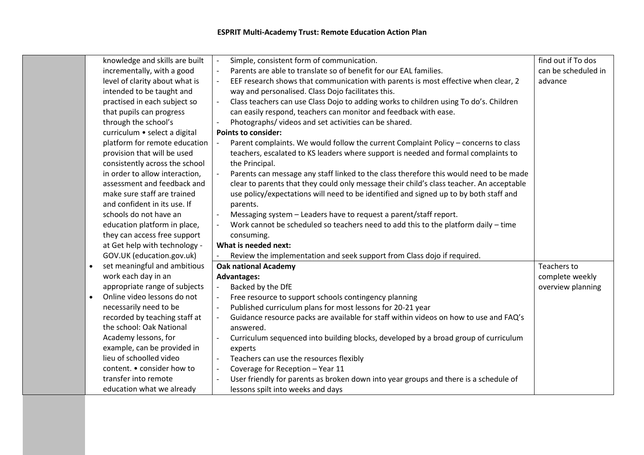| knowledge and skills are built            | Simple, consistent form of communication.<br>$\blacksquare$                                                        | find out if To dos  |
|-------------------------------------------|--------------------------------------------------------------------------------------------------------------------|---------------------|
| incrementally, with a good                | $\mathbb{L}$<br>Parents are able to translate so of benefit for our EAL families.                                  | can be scheduled in |
| level of clarity about what is            | EEF research shows that communication with parents is most effective when clear, 2<br>$\blacksquare$               | advance             |
| intended to be taught and                 | way and personalised. Class Dojo facilitates this.                                                                 |                     |
| practised in each subject so              | Class teachers can use Class Dojo to adding works to children using To do's. Children<br>$\mathbb{L}$              |                     |
| that pupils can progress                  | can easily respond, teachers can monitor and feedback with ease.                                                   |                     |
| through the school's                      | Photographs/videos and set activities can be shared.                                                               |                     |
| curriculum • select a digital             | <b>Points to consider:</b>                                                                                         |                     |
| platform for remote education             | Parent complaints. We would follow the current Complaint Policy - concerns to class<br>$\blacksquare$              |                     |
| provision that will be used               | teachers, escalated to KS leaders where support is needed and formal complaints to                                 |                     |
| consistently across the school            | the Principal.                                                                                                     |                     |
| in order to allow interaction,            | Parents can message any staff linked to the class therefore this would need to be made<br>$\overline{\phantom{a}}$ |                     |
| assessment and feedback and               | clear to parents that they could only message their child's class teacher. An acceptable                           |                     |
| make sure staff are trained               | use policy/expectations will need to be identified and signed up to by both staff and                              |                     |
| and confident in its use. If              | parents.                                                                                                           |                     |
| schools do not have an                    | Messaging system - Leaders have to request a parent/staff report.                                                  |                     |
| education platform in place,              | Work cannot be scheduled so teachers need to add this to the platform daily - time<br>$\overline{\phantom{a}}$     |                     |
| they can access free support              | consuming.                                                                                                         |                     |
| at Get help with technology -             | What is needed next:                                                                                               |                     |
| GOV.UK (education.gov.uk)                 | Review the implementation and seek support from Class dojo if required.                                            |                     |
| set meaningful and ambitious<br>$\bullet$ | <b>Oak national Academy</b>                                                                                        | Teachers to         |
| work each day in an                       | <b>Advantages:</b>                                                                                                 | complete weekly     |
| appropriate range of subjects             | Backed by the DfE<br>$\mathbb{L}$                                                                                  | overview planning   |
| Online video lessons do not               | Free resource to support schools contingency planning<br>$\overline{\phantom{a}}$                                  |                     |
| necessarily need to be                    | Published curriculum plans for most lessons for 20-21 year<br>$\mathbb{L}$                                         |                     |
| recorded by teaching staff at             | Guidance resource packs are available for staff within videos on how to use and FAQ's                              |                     |
| the school: Oak National                  | answered.                                                                                                          |                     |
| Academy lessons, for                      | Curriculum sequenced into building blocks, developed by a broad group of curriculum                                |                     |
| example, can be provided in               | experts                                                                                                            |                     |
| lieu of schoolled video                   | Teachers can use the resources flexibly                                                                            |                     |
| content. • consider how to                | Coverage for Reception - Year 11                                                                                   |                     |
| transfer into remote                      | User friendly for parents as broken down into year groups and there is a schedule of                               |                     |
| education what we already                 | lessons spilt into weeks and days                                                                                  |                     |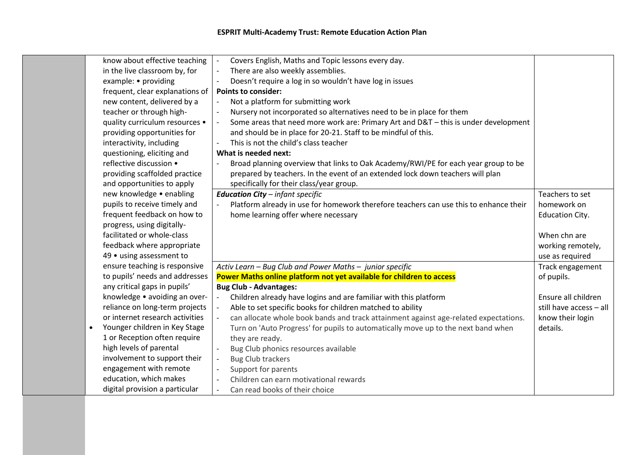| know about effective teaching              | Covers English, Maths and Topic lessons every day.                                                               |                         |
|--------------------------------------------|------------------------------------------------------------------------------------------------------------------|-------------------------|
| in the live classroom by, for              | $\Box$<br>There are also weekly assemblies.                                                                      |                         |
| example: • providing                       | Doesn't require a log in so wouldn't have log in issues<br>$\overline{\phantom{a}}$                              |                         |
| frequent, clear explanations of            | <b>Points to consider:</b>                                                                                       |                         |
| new content, delivered by a                | Not a platform for submitting work<br>$\Box$                                                                     |                         |
| teacher or through high-                   | $\Box$<br>Nursery not incorporated so alternatives need to be in place for them                                  |                         |
| quality curriculum resources •             | Some areas that need more work are: Primary Art and D&T - this is under development<br>$\overline{\phantom{a}}$  |                         |
| providing opportunities for                | and should be in place for 20-21. Staff to be mindful of this.                                                   |                         |
| interactivity, including                   | This is not the child's class teacher                                                                            |                         |
| questioning, eliciting and                 | What is needed next:                                                                                             |                         |
| reflective discussion •                    | Broad planning overview that links to Oak Academy/RWI/PE for each year group to be                               |                         |
| providing scaffolded practice              | prepared by teachers. In the event of an extended lock down teachers will plan                                   |                         |
| and opportunities to apply                 | specifically for their class/year group.                                                                         |                         |
| new knowledge . enabling                   | <b>Education City</b> - infant specific                                                                          | Teachers to set         |
| pupils to receive timely and               | Platform already in use for homework therefore teachers can use this to enhance their                            | homework on             |
| frequent feedback on how to                | home learning offer where necessary                                                                              | <b>Education City.</b>  |
| progress, using digitally-                 |                                                                                                                  |                         |
| facilitated or whole-class                 |                                                                                                                  | When chn are            |
| feedback where appropriate                 |                                                                                                                  | working remotely,       |
| 49 • using assessment to                   |                                                                                                                  | use as required         |
| ensure teaching is responsive              | Activ Learn - Bug Club and Power Maths - junior specific                                                         | Track engagement        |
| to pupils' needs and addresses             | Power Maths online platform not yet available for children to access                                             | of pupils.              |
| any critical gaps in pupils'               | <b>Bug Club - Advantages:</b>                                                                                    |                         |
| knowledge • avoiding an over-              | Children already have logins and are familiar with this platform<br>$\overline{\phantom{a}}$                     | Ensure all children     |
| reliance on long-term projects             | $\Box$<br>Able to set specific books for children matched to ability                                             | still have access - all |
| or internet research activities            | can allocate whole book bands and track attainment against age-related expectations.<br>$\overline{\phantom{a}}$ | know their login        |
| Younger children in Key Stage<br>$\bullet$ | Turn on 'Auto Progress' for pupils to automatically move up to the next band when                                | details.                |
| 1 or Reception often require               | they are ready.                                                                                                  |                         |
| high levels of parental                    | Bug Club phonics resources available<br>$\overline{\phantom{a}}$                                                 |                         |
| involvement to support their               | <b>Bug Club trackers</b><br>$\overline{\phantom{a}}$                                                             |                         |
| engagement with remote                     | Support for parents<br>$\overline{\phantom{a}}$                                                                  |                         |
| education, which makes                     | Children can earn motivational rewards                                                                           |                         |
| digital provision a particular             | Can read books of their choice<br>$\overline{\phantom{a}}$                                                       |                         |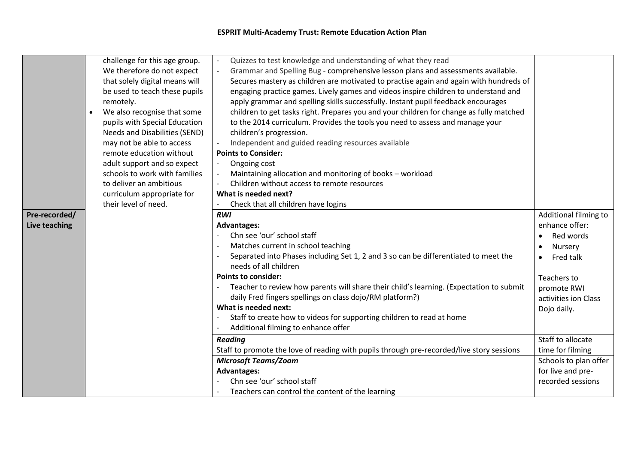| Pre-recorded/<br>Live teaching | challenge for this age group.<br>We therefore do not expect<br>that solely digital means will<br>be used to teach these pupils<br>remotely.<br>We also recognise that some<br>pupils with Special Education<br>Needs and Disabilities (SEND)<br>may not be able to access<br>remote education without<br>adult support and so expect<br>schools to work with families<br>to deliver an ambitious<br>curriculum appropriate for<br>their level of need. | Quizzes to test knowledge and understanding of what they read<br>Grammar and Spelling Bug - comprehensive lesson plans and assessments available.<br>Secures mastery as children are motivated to practise again and again with hundreds of<br>engaging practice games. Lively games and videos inspire children to understand and<br>apply grammar and spelling skills successfully. Instant pupil feedback encourages<br>children to get tasks right. Prepares you and your children for change as fully matched<br>to the 2014 curriculum. Provides the tools you need to assess and manage your<br>children's progression.<br>Independent and guided reading resources available<br><b>Points to Consider:</b><br>Ongoing cost<br>Maintaining allocation and monitoring of books - workload<br>Children without access to remote resources<br>What is needed next?<br>Check that all children have logins<br><b>RWI</b><br><b>Advantages:</b><br>Chn see 'our' school staff<br>Matches current in school teaching<br>Separated into Phases including Set 1, 2 and 3 so can be differentiated to meet the<br>needs of all children<br><b>Points to consider:</b><br>Teacher to review how parents will share their child's learning. (Expectation to submit<br>daily Fred fingers spellings on class dojo/RM platform?)<br>What is needed next:<br>Staff to create how to videos for supporting children to read at home<br>Additional filming to enhance offer<br><b>Reading</b> | Additional filming to<br>enhance offer:<br>Red words<br>$\bullet$<br>Nursery<br>Fred talk<br>$\bullet$<br>Teachers to<br>promote RWI<br>activities ion Class<br>Dojo daily.<br>Staff to allocate |
|--------------------------------|--------------------------------------------------------------------------------------------------------------------------------------------------------------------------------------------------------------------------------------------------------------------------------------------------------------------------------------------------------------------------------------------------------------------------------------------------------|--------------------------------------------------------------------------------------------------------------------------------------------------------------------------------------------------------------------------------------------------------------------------------------------------------------------------------------------------------------------------------------------------------------------------------------------------------------------------------------------------------------------------------------------------------------------------------------------------------------------------------------------------------------------------------------------------------------------------------------------------------------------------------------------------------------------------------------------------------------------------------------------------------------------------------------------------------------------------------------------------------------------------------------------------------------------------------------------------------------------------------------------------------------------------------------------------------------------------------------------------------------------------------------------------------------------------------------------------------------------------------------------------------------------------------------------------------------------------------------|--------------------------------------------------------------------------------------------------------------------------------------------------------------------------------------------------|
|                                |                                                                                                                                                                                                                                                                                                                                                                                                                                                        |                                                                                                                                                                                                                                                                                                                                                                                                                                                                                                                                                                                                                                                                                                                                                                                                                                                                                                                                                                                                                                                                                                                                                                                                                                                                                                                                                                                                                                                                                      |                                                                                                                                                                                                  |
|                                |                                                                                                                                                                                                                                                                                                                                                                                                                                                        | Staff to promote the love of reading with pupils through pre-recorded/live story sessions                                                                                                                                                                                                                                                                                                                                                                                                                                                                                                                                                                                                                                                                                                                                                                                                                                                                                                                                                                                                                                                                                                                                                                                                                                                                                                                                                                                            | time for filming                                                                                                                                                                                 |
|                                |                                                                                                                                                                                                                                                                                                                                                                                                                                                        |                                                                                                                                                                                                                                                                                                                                                                                                                                                                                                                                                                                                                                                                                                                                                                                                                                                                                                                                                                                                                                                                                                                                                                                                                                                                                                                                                                                                                                                                                      | Schools to plan offer                                                                                                                                                                            |
|                                |                                                                                                                                                                                                                                                                                                                                                                                                                                                        |                                                                                                                                                                                                                                                                                                                                                                                                                                                                                                                                                                                                                                                                                                                                                                                                                                                                                                                                                                                                                                                                                                                                                                                                                                                                                                                                                                                                                                                                                      |                                                                                                                                                                                                  |
|                                |                                                                                                                                                                                                                                                                                                                                                                                                                                                        | <b>Microsoft Teams/Zoom</b>                                                                                                                                                                                                                                                                                                                                                                                                                                                                                                                                                                                                                                                                                                                                                                                                                                                                                                                                                                                                                                                                                                                                                                                                                                                                                                                                                                                                                                                          |                                                                                                                                                                                                  |
|                                |                                                                                                                                                                                                                                                                                                                                                                                                                                                        | <b>Advantages:</b><br>Chn see 'our' school staff                                                                                                                                                                                                                                                                                                                                                                                                                                                                                                                                                                                                                                                                                                                                                                                                                                                                                                                                                                                                                                                                                                                                                                                                                                                                                                                                                                                                                                     | for live and pre-<br>recorded sessions                                                                                                                                                           |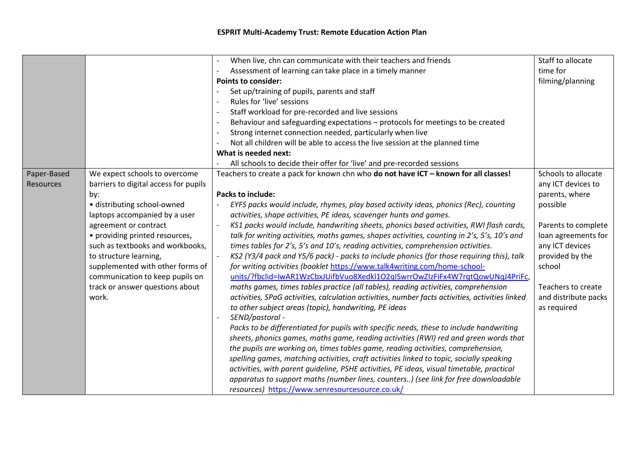## **ESPRIT Multi-Academy Trust: Remote Education Action Plan**

|             |                                       | When live, chn can communicate with their teachers and friends                                  | Staff to allocate    |
|-------------|---------------------------------------|-------------------------------------------------------------------------------------------------|----------------------|
|             |                                       | Assessment of learning can take place in a timely manner                                        | time for             |
|             |                                       | <b>Points to consider:</b>                                                                      | filming/planning     |
|             |                                       | Set up/training of pupils, parents and staff                                                    |                      |
|             |                                       | Rules for 'live' sessions                                                                       |                      |
|             |                                       | Staff workload for pre-recorded and live sessions                                               |                      |
|             |                                       | Behaviour and safeguarding expectations - protocols for meetings to be created                  |                      |
|             |                                       | Strong internet connection needed, particularly when live                                       |                      |
|             |                                       | Not all children will be able to access the live session at the planned time                    |                      |
|             |                                       | What is needed next:                                                                            |                      |
|             |                                       | All schools to decide their offer for 'live' and pre-recorded sessions                          |                      |
| Paper-Based | We expect schools to overcome         | Teachers to create a pack for known chn who do not have ICT - known for all classes!            | Schools to allocate  |
| Resources   | barriers to digital access for pupils |                                                                                                 | any ICT devices to   |
|             | by:                                   | <b>Packs to include:</b>                                                                        | parents, where       |
|             | · distributing school-owned           | EYFS packs would include, rhymes, play based activity ideas, phonics (Rec), counting            | possible             |
|             | laptops accompanied by a user         | activities, shape activities, PE ideas, scavenger hunts and games.                              |                      |
|             | agreement or contract                 | KS1 packs would include, handwriting sheets, phonics based activities, RWI flash cards,         | Parents to complete  |
|             | • providing printed resources,        | talk for writing activities, maths games, shapes activities, counting in 2's, 5's, 10's and     | loan agreements for  |
|             | such as textbooks and workbooks,      | times tables for 2's, 5's and 10's, reading activities, comprehension activities.               | any ICT devices      |
|             | to structure learning,                | KS2 (Y3/4 pack and Y5/6 pack) - packs to include phonics (for those requiring this), talk       | provided by the      |
|             | supplemented with other forms of      | for writing activities (booklet https://www.talk4writing.com/home-school-                       | school               |
|             | communication to keep pupils on       | units/?fbclid=IwAR1WzCbxJUifbVuo8Xedkl1O2qISwrrOwZIzFiFx4W7rqtQowUNqJ4PriFc,                    |                      |
|             | track or answer questions about       | maths games, times tables practice (all tables), reading activities, comprehension              | Teachers to create   |
|             | work.                                 | activities, SPaG activities, calculation activities, number facts activities, activities linked | and distribute packs |
|             |                                       | to other subject areas (topic), handwriting, PE ideas                                           | as required          |
|             |                                       | SEND/pastoral -                                                                                 |                      |
|             |                                       | Packs to be differentiated for pupils with specific needs, these to include handwriting         |                      |
|             |                                       | sheets, phonics games, maths game, reading activities (RWI) red and green words that            |                      |
|             |                                       | the pupils are working on, times tables game, reading activities, comprehension,                |                      |
|             |                                       | spelling games, matching activities, craft activities linked to topic, socially speaking        |                      |
|             |                                       | activities, with parent guideline, PSHE activities, PE ideas, visual timetable, practical       |                      |
|             |                                       | apparatus to support maths (number lines, counters) (see link for free downloadable             |                      |
|             |                                       | resources) https://www.senresourcesource.co.uk/                                                 |                      |